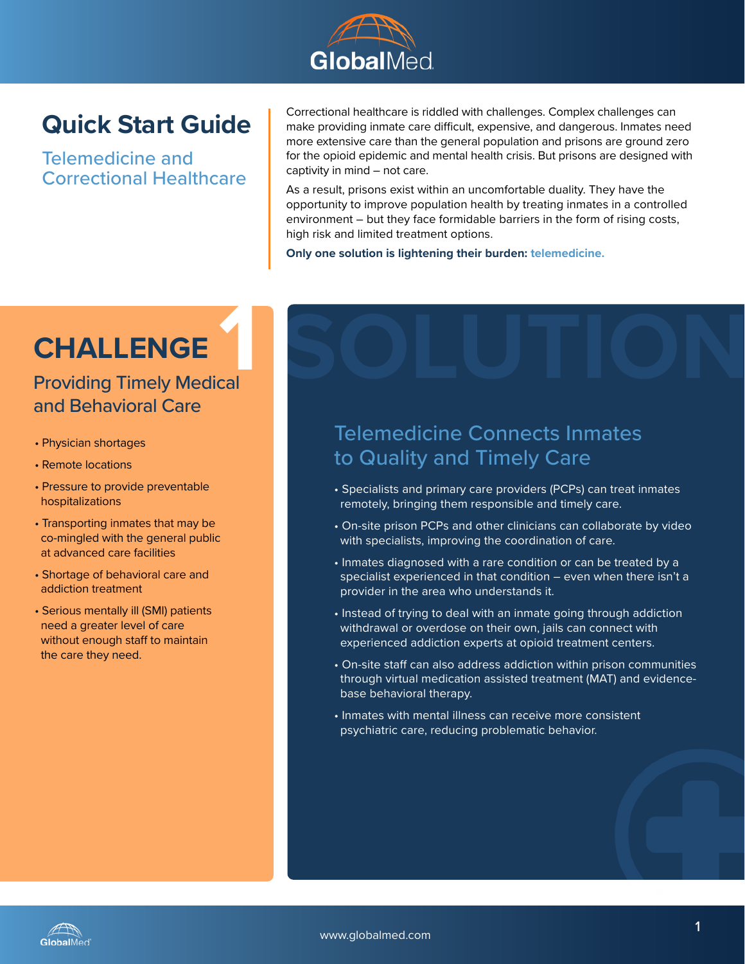

### **Quick Start Guide**

Telemedicine and Correctional Healthcare Correctional healthcare is riddled with challenges. Complex challenges can make providing inmate care difficult, expensive, and dangerous. Inmates need more extensive care than the general population and prisons are ground zero for the opioid epidemic and mental health crisis. But prisons are designed with captivity in mind – not care.

As a result, prisons exist within an uncomfortable duality. They have the opportunity to improve population health by treating inmates in a controlled environment – but they face formidable barriers in the form of rising costs, high risk and limited treatment options.

**Only one solution is lightening their burden: telemedicine.**

### **CHALLENGE**

## **1**<br>Cal Providing Timely Medical and Behavioral Care

- Physician shortages
- Remote locations
- Pressure to provide preventable hospitalizations
- Transporting inmates that may be co-mingled with the general public at advanced care facilities
- Shortage of behavioral care and addiction treatment
- Serious mentally ill (SMI) patients need a greater level of care without enough staff to maintain the care they need.

# Telemedicine Connects Inmates **SOLUTION**

# to Quality and Timely Care

- Specialists and primary care providers (PCPs) can treat inmates remotely, bringing them responsible and timely care.
- On-site prison PCPs and other clinicians can collaborate by video with specialists, improving the coordination of care.
- Inmates diagnosed with a rare condition or can be treated by a specialist experienced in that condition – even when there isn't a provider in the area who understands it.
- Instead of trying to deal with an inmate going through addiction withdrawal or overdose on their own, jails can connect with experienced addiction experts at opioid treatment centers.
- On-site staff can also address addiction within prison communities through virtual medication assisted treatment (MAT) and evidencebase behavioral therapy.
- Inmates with mental illness can receive more consistent psychiatric care, reducing problematic behavior.

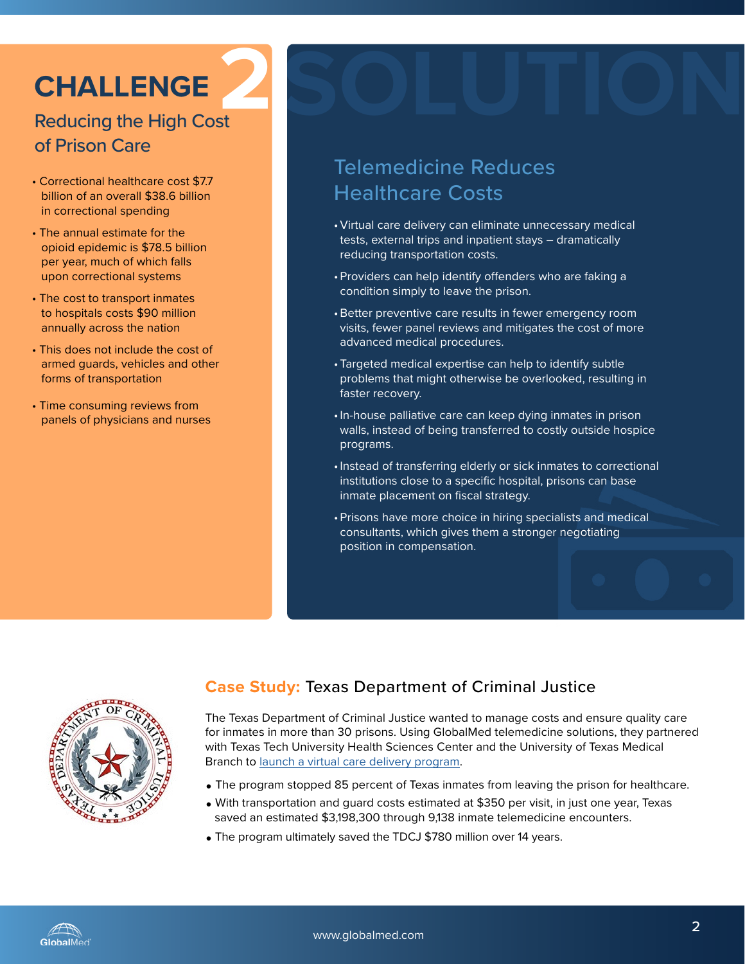### **CHALLENGE**

### Reducing the High Cost **2** of Prison Care

- Correctional healthcare cost \$7.7 billion of an overall \$38.6 billion in correctional spending
- The annual estimate for the opioid epidemic is \$78.5 billion per year, much of which falls upon correctional systems
- The cost to transport inmates to hospitals costs \$90 million annually across the nation
- This does not include the cost of armed guards, vehicles and other forms of transportation
- Time consuming reviews from panels of physicians and nurses

### Telemedicine Reduces Healthcare Costs

•Virtual care delivery can eliminate unnecessary medical tests, external trips and inpatient stays – dramatically reducing transportation costs.

**SOLUTION**

- •Providers can help identify offenders who are faking a condition simply to leave the prison.
- •Better preventive care results in fewer emergency room visits, fewer panel reviews and mitigates the cost of more advanced medical procedures.
- •Targeted medical expertise can help to identify subtle problems that might otherwise be overlooked, resulting in faster recovery.
- •In-house palliative care can keep dying inmates in prison walls, instead of being transferred to costly outside hospice programs.
- •Instead of transferring elderly or sick inmates to correctional institutions close to a specific hospital, prisons can base inmate placement on fiscal strategy.
- Prisons have more choice in hiring specialists and medical consultants, which gives them a stronger negotiating position in compensation.



#### **Case Study:** Texas Department of Criminal Justice

The Texas Department of Criminal Justice wanted to manage costs and ensure quality care for inmates in more than 30 prisons. Using GlobalMed telemedicine solutions, they partnered with Texas Tech University Health Sciences Center and the University of Texas Medical Branch to [launch a virtual care delivery program.](http://www.globalmed.com/controlling-prison-healthcare-costs-with-telemedicine/)

- The program stopped 85 percent of Texas inmates from leaving the prison for healthcare.
- With transportation and guard costs estimated at \$350 per visit, in just one year, Texas saved an estimated \$3,198,300 through 9,138 inmate telemedicine encounters.
- The program ultimately saved the TDCJ \$780 million over 14 years.